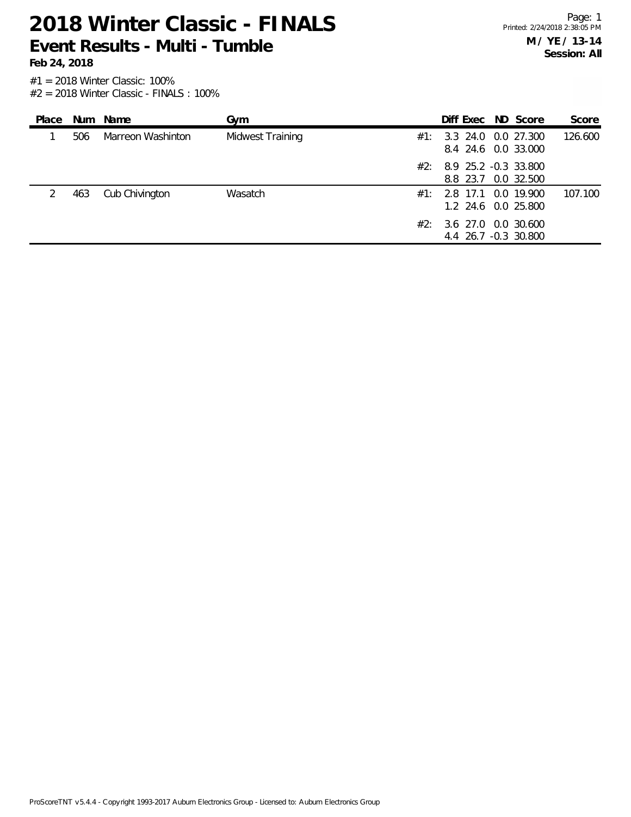**Feb 24, 2018**

| Place |     | Num Name          | Gvm              |     | Diff Exec ND Score                                 |  | Score   |
|-------|-----|-------------------|------------------|-----|----------------------------------------------------|--|---------|
|       | 506 | Marreon Washinton | Midwest Training | #1: | 3.3 24.0 0.0 27.300<br>8.4 24.6 0.0 33.000         |  | 126.600 |
|       |     |                   |                  |     | $#2: 8.9 25.2 -0.3 33.800$<br>8.8 23.7 0.0 32.500  |  |         |
|       | 463 | Cub Chivington    | Wasatch          |     | $\#1$ : 2.8 17.1 0.0 19.900<br>1.2 24.6 0.0 25.800 |  | 107.100 |
|       |     |                   |                  | #2: | 3.6 27.0 0.0 30.600<br>4.4 26.7 -0.3 30.800        |  |         |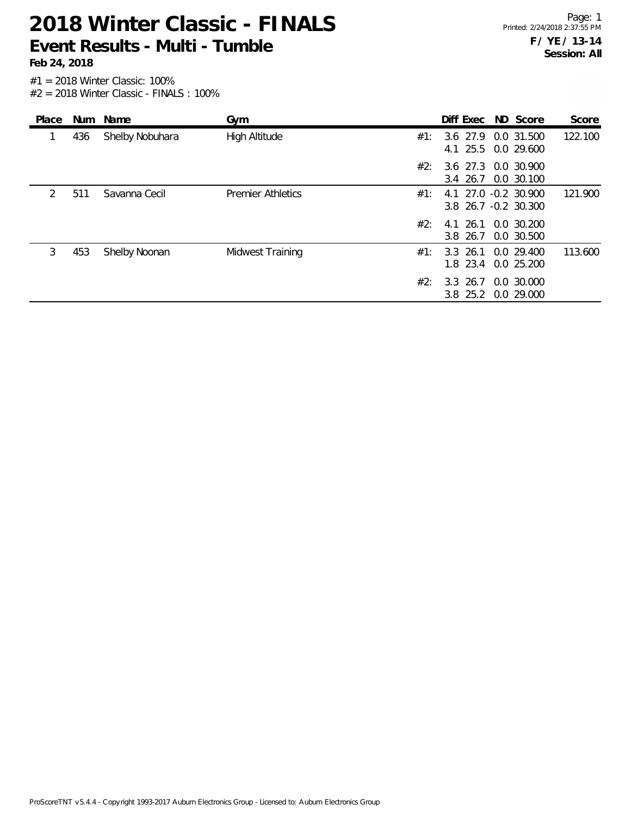**Feb 24, 2018**

| Place         |     | Num Name        | Gym                      |     |                        | Diff Exec ND Score                           | Score   |
|---------------|-----|-----------------|--------------------------|-----|------------------------|----------------------------------------------|---------|
|               | 436 | Shelby Nobuhara | High Altitude            | #1: | 3.6 27.9               | 0.0 31.500<br>4.1 25.5 0.0 29.600            | 122.100 |
|               |     |                 |                          | #2: | 3.4 26.7               | 3.6 27.3 0.0 30.900<br>0.0 30.100            |         |
| $\mathcal{P}$ | 511 | Savanna Cecil   | <b>Premier Athletics</b> | #1: |                        | 4.1 27.0 -0.2 30.900<br>3.8 26.7 -0.2 30.300 | 121.900 |
|               |     |                 |                          | #2: | 3.8 26.7               | 4.1 26.1 0.0 30.200<br>0.0 30.500            |         |
| 3             | 453 | Shelby Noonan   | Midwest Training         | #1: | $3.3$ 26.1<br>1.8 23.4 | 0.0 29.400<br>0.0 25.200                     | 113.600 |
|               |     |                 |                          | #2: | 3.3 26.7<br>$3.8$ 25.2 | 0.0 30.000<br>0.0 29.000                     |         |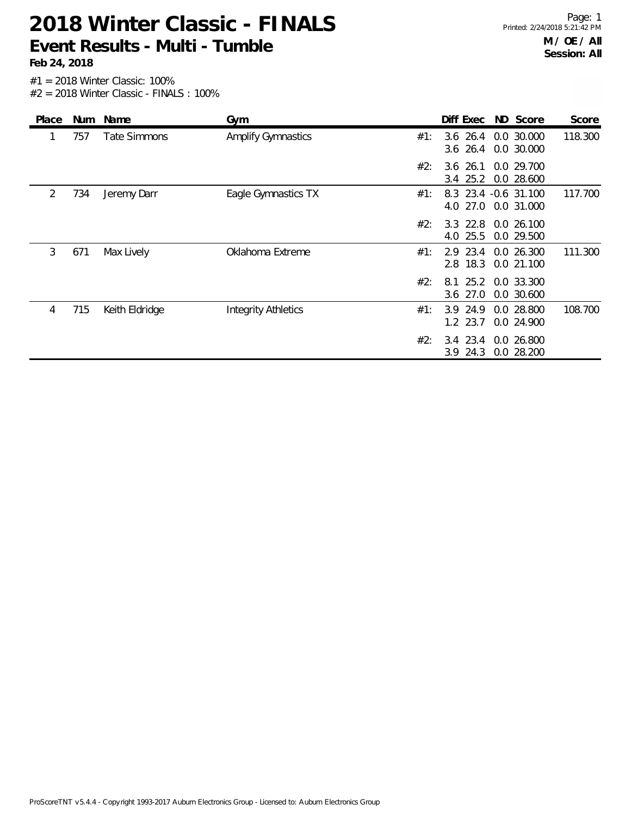| Place |     | Num Name            | Gym                        |     | Diff Exec ND Score               |                               | Score   |
|-------|-----|---------------------|----------------------------|-----|----------------------------------|-------------------------------|---------|
|       | 757 | <b>Tate Simmons</b> | <b>Amplify Gymnastics</b>  | #1: | $3.6$ 26.4<br>$3.6$ 26.4         | 0.0 30.000<br>0.0 30.000      | 118.300 |
|       |     |                     |                            | #2: | 3.6 26.1 0.0 29.700<br>3.4 25.2  | 0.0 28.600                    |         |
| 2     | 734 | Jeremy Darr         | Eagle Gymnastics TX        | #1: | 8.3 23.4 -0.6 31.100<br>4.0 27.0 | 0.0 31.000                    | 117.700 |
|       |     |                     |                            | #2: | $3.3$ 22.8<br>4.0 25.5           | 0.0 26.100<br>0.0 29.500      |         |
| 3     | 671 | Max Lively          | Oklahoma Extreme           | #1: | 2.9 23.4<br>2.8 18.3             | 0.0 26.300<br>0.0 21.100      | 111.300 |
|       |     |                     |                            | #2: | 8.1<br>$3.6$ 27.0                | 25.2 0.0 33.300<br>0.0 30.600 |         |
| 4     | 715 | Keith Eldridge      | <b>Integrity Athletics</b> | #1: | 24.9<br>3.9<br>1.2 23.7          | 0.0 28.800<br>0.0 24.900      | 108.700 |
|       |     |                     |                            | #2: | $3.4$ 23.4<br>$3.9$ 24.3         | 0.0 26.800<br>0.0 28.200      |         |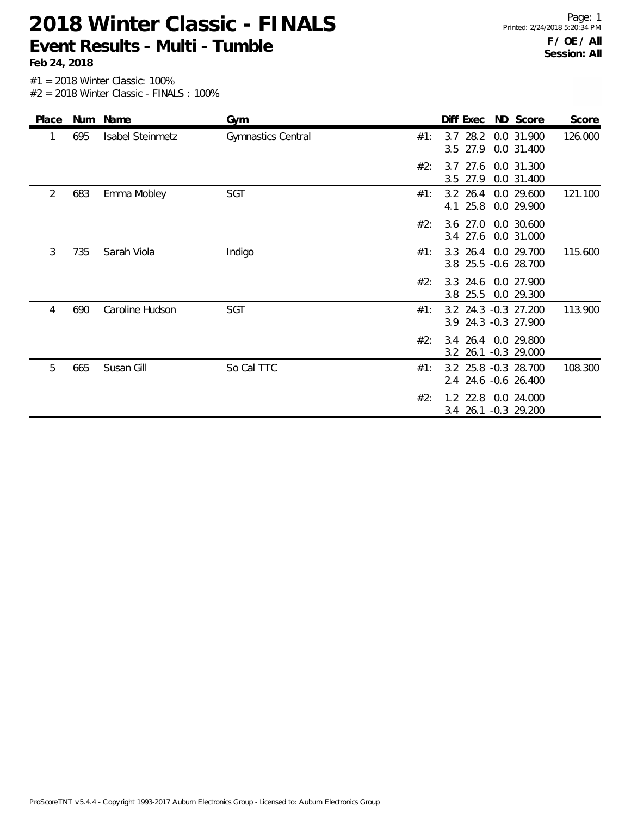Page: 1 Printed: 2/24/2018 5:20:34 PM **F / OE / All Session: All**

| Place          |     | Num Name                | Gym                | Diff Exec<br>ND Score                                  | Score   |
|----------------|-----|-------------------------|--------------------|--------------------------------------------------------|---------|
| 1              | 695 | <b>Isabel Steinmetz</b> | Gymnastics Central | 3.7 28.2 0.0 31.900<br>#1:<br>3.5 27.9<br>0.0 31.400   | 126.000 |
|                |     |                         |                    | #2:<br>3.7 27.6 0.0 31.300<br>3.5 27.9<br>0.0 31.400   |         |
| $\overline{2}$ | 683 | Emma Mobley             | SGT                | $3.2$ 26.4<br>0.0 29.600<br>#1:<br>4.1 25.8 0.0 29.900 | 121.100 |
|                |     |                         |                    | 3.6 27.0 0.0 30.600<br>#2:<br>3.4 27.6<br>0.0 31.000   |         |
| 3              | 735 | Sarah Viola             | Indigo             | 3.3 26.4 0.0 29.700<br>#1:<br>3.8 25.5 -0.6 28.700     | 115.600 |
|                |     |                         |                    | #2:<br>3.3 24.6 0.0 27.900<br>3.8 25.5<br>0.0 29.300   |         |
| 4              | 690 | Caroline Hudson         | SGT                | 3.2 24.3 -0.3 27.200<br>#1:<br>3.9 24.3 -0.3 27.900    | 113.900 |
|                |     |                         |                    | #2:<br>3.4 26.4 0.0 29.800<br>3.2 26.1 -0.3 29.000     |         |
| 5              | 665 | Susan Gill              | So Cal TTC         | 3.2 25.8 -0.3 28.700<br>#1:<br>2.4 24.6 -0.6 26.400    | 108.300 |
|                |     |                         |                    | 1.2 22.8 0.0 24.000<br>#2:<br>3.4 26.1 -0.3 29.200     |         |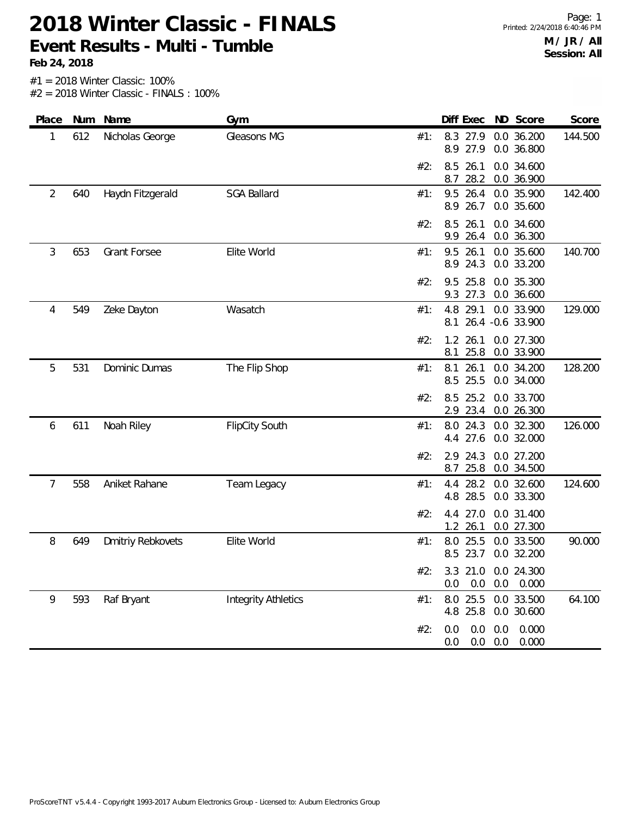**Feb 24, 2018**

| Place | Num | Name                | Gym                        |     | Diff Exec                  |                   | ND Score                 | Score   |
|-------|-----|---------------------|----------------------------|-----|----------------------------|-------------------|--------------------------|---------|
| 1     | 612 | Nicholas George     | Gleasons MG                | #1: | 8.3 27.9<br>8.9 27.9       |                   | 0.0 36.200<br>0.0 36.800 | 144.500 |
|       |     |                     |                            | #2: | 26.1<br>8.5<br>8.7<br>28.2 |                   | 0.0 34.600<br>0.0 36.900 |         |
| 2     | 640 | Haydn Fitzgerald    | <b>SGA Ballard</b>         | #1: | 26.4<br>9.5<br>8.9 26.7    |                   | 0.0 35.900<br>0.0 35.600 | 142.400 |
|       |     |                     |                            | #2: | 26.1<br>8.5<br>9.9<br>26.4 |                   | 0.0 34.600<br>0.0 36.300 |         |
| 3     | 653 | <b>Grant Forsee</b> | Elite World                | #1: | 9.5<br>26.1<br>8.9 24.3    |                   | 0.0 35.600<br>0.0 33.200 | 140.700 |
|       |     |                     |                            | #2: | 25.8<br>9.5<br>27.3<br>9.3 |                   | 0.0 35.300<br>0.0 36.600 |         |
| 4     | 549 | Zeke Dayton         | Wasatch                    | #1: | 4.8<br>29.1<br>8.1         | 26.4 - 0.6 33.900 | 0.0 33.900               | 129.000 |
|       |     |                     |                            | #2: | 1.2<br>26.1<br>25.8<br>8.1 |                   | 0.0 27.300<br>0.0 33.900 |         |
| 5     | 531 | Dominic Dumas       | The Flip Shop              | #1: | 8.1<br>26.1<br>8.5 25.5    |                   | 0.0 34.200<br>0.0 34.000 | 128.200 |
|       |     |                     |                            | #2: | 8.5<br>25.2<br>2.9 23.4    |                   | 0.0 33.700<br>0.0 26.300 |         |
| 6     | 611 | Noah Riley          | <b>FlipCity South</b>      | #1: | 8.0 24.3<br>4.4 27.6       |                   | 0.0 32.300<br>0.0 32.000 | 126.000 |
|       |     |                     |                            | #2: | 24.3<br>2.9<br>8.7<br>25.8 |                   | 0.0 27.200<br>0.0 34.500 |         |
| 7     | 558 | Aniket Rahane       | Team Legacy                | #1: | 28.2<br>4.4<br>4.8 28.5    |                   | 0.0 32.600<br>0.0 33.300 | 124.600 |
|       |     |                     |                            | #2: | 27.0<br>4.4<br>$1.2$ 26.1  |                   | 0.0 31.400<br>0.0 27.300 |         |
| 8     | 649 | Dmitriy Rebkovets   | Elite World                | #1: | 8.0<br>25.5<br>8.5 23.7    |                   | 0.0 33.500<br>0.0 32.200 | 90.000  |
|       |     |                     |                            | #2: | 3.3<br>21.0<br>0.0<br>0.0  | 0.0               | 0.0 24.300<br>0.000      |         |
| 9     | 593 | Raf Bryant          | <b>Integrity Athletics</b> | #1: | 25.5<br>8.0<br>4.8 25.8    |                   | 0.0 33.500<br>0.0 30.600 | 64.100  |
|       |     |                     |                            | #2: | 0.0<br>0.0<br>0.0<br>0.0   | 0.0<br>0.0        | 0.000<br>0.000           |         |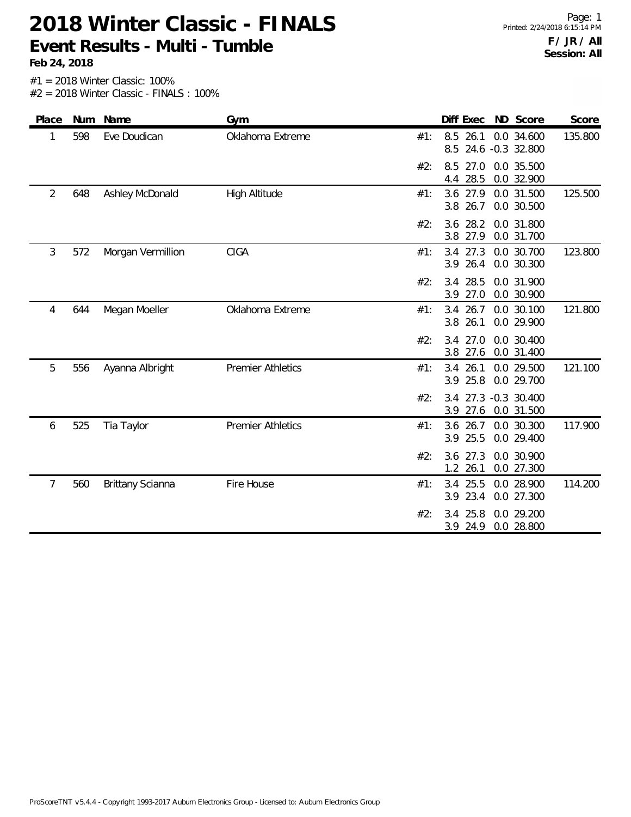**Feb 24, 2018**

#2 = 2018 Winter Classic - FINALS : 100%

| Place          | Num | Name              | Gym                      |     | Diff Exec ND Score         |                                | Score   |
|----------------|-----|-------------------|--------------------------|-----|----------------------------|--------------------------------|---------|
| 1              | 598 | Eve Doudican      | Oklahoma Extreme         | #1: | 8.5 26.1<br>8.5            | 0.0 34.600<br>24.6 -0.3 32.800 | 135.800 |
|                |     |                   |                          | #2: | 8.5<br>27.0<br>4.4 28.5    | 0.0 35.500<br>0.0 32.900       |         |
| $\overline{2}$ | 648 | Ashley McDonald   | High Altitude            | #1: | 3.6 27.9<br>3.8 26.7       | 0.0 31.500<br>0.0 30.500       | 125.500 |
|                |     |                   |                          | #2: | 3.6 28.2<br>3.8 27.9       | 0.0 31.800<br>0.0 31.700       |         |
| 3              | 572 | Morgan Vermillion | <b>CIGA</b>              | #1: | 3.4 27.3<br>3.9 26.4       | 0.0 30.700<br>0.0 30.300       | 123.800 |
|                |     |                   |                          | #2: | 28.5<br>3.4<br>3.9 27.0    | 0.0 31.900<br>0.0 30.900       |         |
| 4              | 644 | Megan Moeller     | Oklahoma Extreme         | #1: | 3.4<br>26.7<br>26.1<br>3.8 | 0.0 30.100<br>0.0 29.900       | 121.800 |
|                |     |                   |                          | #2: | 27.0<br>3.4<br>3.8 27.6    | 0.0 30.400<br>0.0 31.400       |         |
| 5              | 556 | Ayanna Albright   | <b>Premier Athletics</b> | #1: | 26.1<br>3.4<br>25.8<br>3.9 | 0.0 29.500<br>0.0 29.700       | 121.100 |
|                |     |                   |                          | #2: | 3.4<br>27.6<br>3.9         | 27.3 -0.3 30.400<br>0.0 31.500 |         |
| 6              | 525 | Tia Taylor        | <b>Premier Athletics</b> | #1: | 26.7<br>3.6<br>3.9<br>25.5 | 0.0 30.300<br>0.0 29.400       | 117.900 |
|                |     |                   |                          | #2: | 3.6 27.3<br>1.2 26.1       | 0.0 30.900<br>0.0 27.300       |         |
| 7              | 560 | Brittany Scianna  | Fire House               | #1: | 3.4<br>25.5<br>23.4<br>3.9 | 0.0 28.900<br>0.0 27.300       | 114.200 |
|                |     |                   |                          | #2: | 25.8<br>3.4<br>3.9 24.9    | 0.0 29.200<br>0.0 28.800       |         |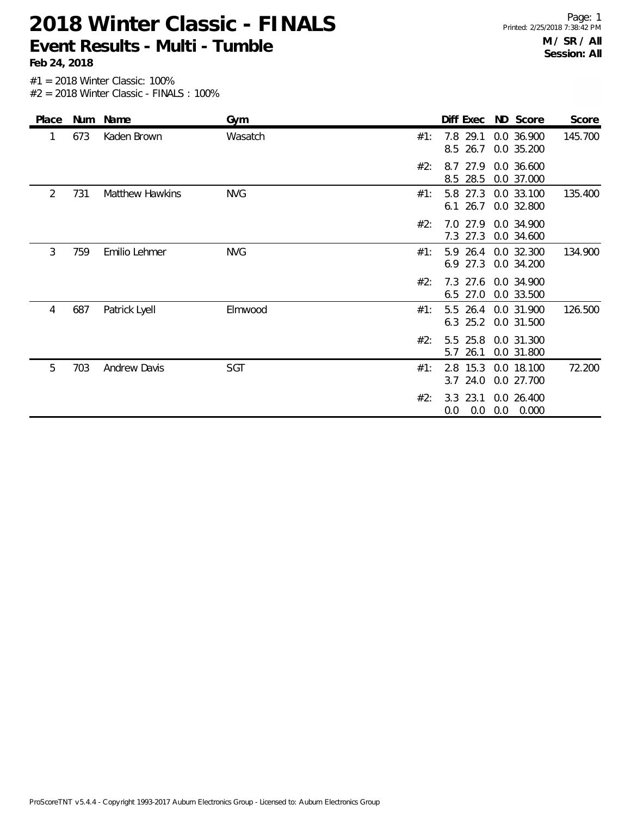**Feb 24, 2018**

Page: 1 Printed: 2/25/2018 7:38:42 PM **M / SR / All Session: All**

| Place | Num | Name                   | Gym        |     | Diff Exec                       |     | ND Score                 | Score   |
|-------|-----|------------------------|------------|-----|---------------------------------|-----|--------------------------|---------|
| 1     | 673 | Kaden Brown            | Wasatch    | #1: | 7.8 29.1<br>8.5 26.7            |     | 0.0 36.900<br>0.0 35.200 | 145.700 |
|       |     |                        |            | #2: | 27.9<br>8.7<br>8.5 28.5         |     | 0.0 36.600<br>0.0 37.000 |         |
| 2     | 731 | <b>Matthew Hawkins</b> | <b>NVG</b> | #1: | 5.8 27.3<br>$6.1\,26.7$         |     | 0.0 33.100<br>0.0 32.800 | 135.400 |
|       |     |                        |            | #2: | 7.0 27.9<br>7.3 27.3            |     | 0.0 34.900<br>0.0 34.600 |         |
| 3     | 759 | Emilio Lehmer          | <b>NVG</b> | #1: | 5.9 26.4<br>6.9 27.3            |     | 0.0 32.300<br>0.0 34.200 | 134.900 |
|       |     |                        |            | #2: | 7.3 27.6 0.0 34.900<br>6.5 27.0 |     | 0.0 33.500               |         |
| 4     | 687 | Patrick Lyell          | Elmwood    | #1: | 5.5 26.4<br>$6.3$ 25.2          |     | 0.0 31.900<br>0.0 31.500 | 126.500 |
|       |     |                        |            | #2: | 5.5 25.8<br>26.1<br>5.7         |     | 0.0 31.300<br>0.0 31.800 |         |
| 5     | 703 | <b>Andrew Davis</b>    | SGT        | #1: | 2.8 15.3<br>24.0<br>3.7         |     | 0.0 18.100<br>0.0 27.700 | 72.200  |
|       |     |                        |            | #2: | 3.3 23.1<br>0.0<br>0.0          | 0.0 | 0.0 26.400<br>0.000      |         |